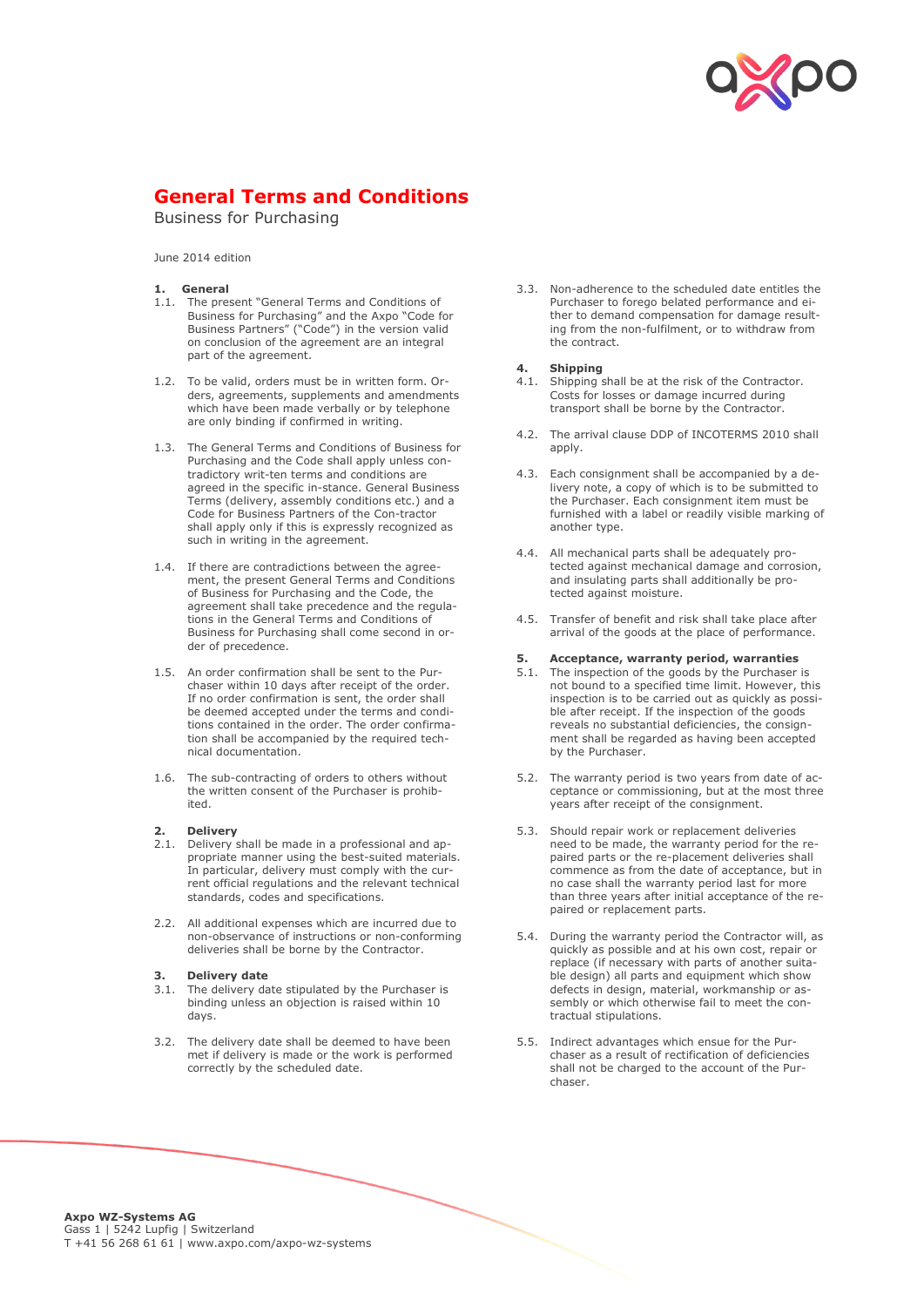

## **General Terms and Conditions**

Business for Purchasing

June 2014 edition

- **1. General**
- 1.1. The present "General Terms and Conditions of Business for Purchasing" and the Axpo "Code for Business Partners" ("Code") in the version valid on conclusion of the agreement are an integral part of the agreement.
- 1.2. To be valid, orders must be in written form. Orders, agreements, supplements and amendments which have been made verbally or by telephone are only binding if confirmed in writing.
- 1.3. The General Terms and Conditions of Business for Purchasing and the Code shall apply unless contradictory writ-ten terms and conditions are agreed in the specific in-stance. General Business Terms (delivery, assembly conditions etc.) and a Code for Business Partners of the Con-tractor shall apply only if this is expressly recognized as such in writing in the agreement.
- 1.4. If there are contradictions between the agreement, the present General Terms and Conditions of Business for Purchasing and the Code, the agreement shall take precedence and the regulations in the General Terms and Conditions of Business for Purchasing shall come second in order of precedence.
- 1.5. An order confirmation shall be sent to the Purchaser within 10 days after receipt of the order. If no order confirmation is sent, the order shall be deemed accepted under the terms and conditions contained in the order. The order confirmation shall be accompanied by the required technical documentation.
- 1.6. The sub-contracting of orders to others without the written consent of the Purchaser is prohibited.

### **2. Delivery**

- 2. **Delivery** shall be made in a professional and appropriate manner using the best-suited materials. In particular, delivery must comply with the current official regulations and the relevant technical standards, codes and specifications.
- 2.2. All additional expenses which are incurred due to non-observance of instructions or non-conforming deliveries shall be borne by the Contractor.

### **3. Delivery date**

- 3.1. The delivery date stipulated by the Purchaser is binding unless an objection is raised within 10 days.
- 3.2. The delivery date shall be deemed to have been met if delivery is made or the work is performed correctly by the scheduled date.

3.3. Non-adherence to the scheduled date entitles the Purchaser to forego belated performance and either to demand compensation for damage resulting from the non-fulfilment, or to withdraw from the contract.

# **4. Shipping**

- Shipping shall be at the risk of the Contractor. Costs for losses or damage incurred during transport shall be borne by the Contractor.
- 4.2. The arrival clause DDP of INCOTERMS 2010 shall apply.
- 4.3. Each consignment shall be accompanied by a delivery note, a copy of which is to be submitted to the Purchaser. Each consignment item must be furnished with a label or readily visible marking of another type.
- 4.4. All mechanical parts shall be adequately protected against mechanical damage and corrosion, and insulating parts shall additionally be protected against moisture.
- 4.5. Transfer of benefit and risk shall take place after arrival of the goods at the place of performance.

#### **5. Acceptance, warranty period, warranties**

- 5. Acceptance, warranty perform, warranties not bound to a specified time limit. However, this inspection is to be carried out as quickly as possible after receipt. If the inspection of the goods reveals no substantial deficiencies, the consignment shall be regarded as having been accepted by the Purchaser.
- 5.2. The warranty period is two years from date of acceptance or commissioning, but at the most three years after receipt of the consignment.
- 5.3. Should repair work or replacement deliveries need to be made, the warranty period for the repaired parts or the re-placement deliveries shall commence as from the date of acceptance, but in no case shall the warranty period last for more than three years after initial acceptance of the repaired or replacement parts.
- 5.4. During the warranty period the Contractor will, as quickly as possible and at his own cost, repair or replace (if necessary with parts of another suitable design) all parts and equipment which show defects in design, material, workmanship or assembly or which otherwise fail to meet the contractual stipulations.
- 5.5. Indirect advantages which ensue for the Purchaser as a result of rectification of deficiencies shall not be charged to the account of the Purchaser.